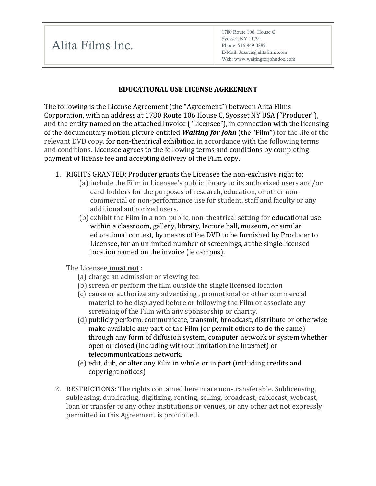Alita Films Inc.

1780 Route 106, House C Syosset, NY 11791 Phone: 516-849-0289 E-Mail: Jessica@alitafilms.com Web: www.waitingforjohndoc.com

## **EDUCATIONAL USE LICENSE AGREEMENT**

The following is the License Agreement (the "Agreement") between Alita Films Corporation, with an address at 1780 Route 106 House C, Syosset NY USA ("Producer"), and the entity named on the attached Invoice ("Licensee"), in connection with the licensing of the documentary motion picture entitled **Waiting for John** (the "Film") for the life of the relevant DVD copy, for non-theatrical exhibition in accordance with the following terms and conditions. Licensee agrees to the following terms and conditions by completing payment of license fee and accepting delivery of the Film copy.

- 1. RIGHTS GRANTED: Producer grants the Licensee the non-exclusive right to:
	- (a) include the Film in Licensee's public library to its authorized users and/or card-holders for the purposes of research, education, or other noncommercial or non-performance use for student, staff and faculty or any additional authorized users.
	- $(b)$  exhibit the Film in a non-public, non-theatrical setting for educational use within a classroom, gallery, library, lecture hall, museum, or similar educational context, by means of the DVD to be furnished by Producer to Licensee, for an unlimited number of screenings, at the single licensed location named on the invoice (ie campus).

The Licensee **must not** :

- (a) charge an admission or viewing fee
- (b) screen or perform the film outside the single licensed location
- (c) cause or authorize any advertising, promotional or other commercial material to be displayed before or following the Film or associate any screening of the Film with any sponsorship or charity.
- (d) publicly perform, communicate, transmit, broadcast, distribute or otherwise make available any part of the Film (or permit others to do the same) through any form of diffusion system, computer network or system whether open or closed (including without limitation the Internet) or telecommunications network.
- (e) edit, dub, or alter any Film in whole or in part (including credits and copyright notices)
- 2. RESTRICTIONS: The rights contained herein are non-transferable. Sublicensing, subleasing, duplicating, digitizing, renting, selling, broadcast, cablecast, webcast, loan or transfer to any other institutions or venues, or any other act not expressly permitted in this Agreement is prohibited.